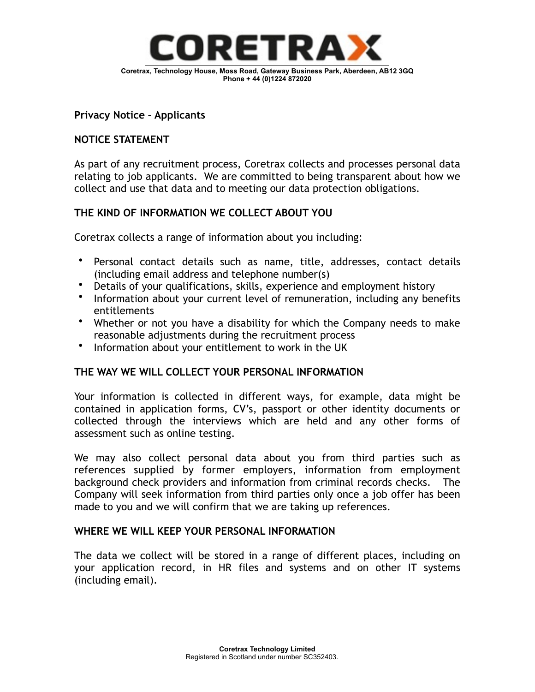

## **Privacy Notice – Applicants**

### **NOTICE STATEMENT**

As part of any recruitment process, Coretrax collects and processes personal data relating to job applicants. We are committed to being transparent about how we collect and use that data and to meeting our data protection obligations.

## **THE KIND OF INFORMATION WE COLLECT ABOUT YOU**

Coretrax collects a range of information about you including:

- Personal contact details such as name, title, addresses, contact details (including email address and telephone number(s)
- Details of your qualifications, skills, experience and employment history
- Information about your current level of remuneration, including any benefits entitlements
- Whether or not you have a disability for which the Company needs to make reasonable adjustments during the recruitment process
- Information about your entitlement to work in the UK

## **THE WAY WE WILL COLLECT YOUR PERSONAL INFORMATION**

Your information is collected in different ways, for example, data might be contained in application forms, CV's, passport or other identity documents or collected through the interviews which are held and any other forms of assessment such as online testing.

We may also collect personal data about you from third parties such as references supplied by former employers, information from employment background check providers and information from criminal records checks. The Company will seek information from third parties only once a job offer has been made to you and we will confirm that we are taking up references.

### **WHERE WE WILL KEEP YOUR PERSONAL INFORMATION**

The data we collect will be stored in a range of different places, including on your application record, in HR files and systems and on other IT systems (including email).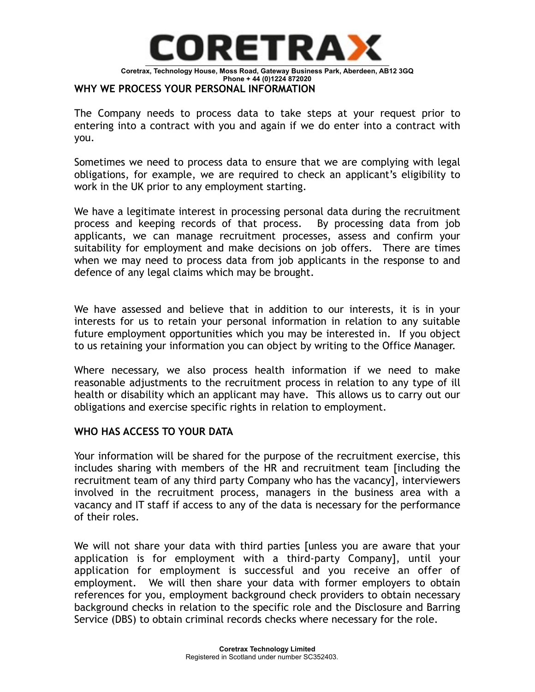

#### **WHY WE PROCESS YOUR PERSONAL INFORMATION**

The Company needs to process data to take steps at your request prior to entering into a contract with you and again if we do enter into a contract with you.

Sometimes we need to process data to ensure that we are complying with legal obligations, for example, we are required to check an applicant's eligibility to work in the UK prior to any employment starting.

We have a legitimate interest in processing personal data during the recruitment process and keeping records of that process. By processing data from job applicants, we can manage recruitment processes, assess and confirm your suitability for employment and make decisions on job offers. There are times when we may need to process data from job applicants in the response to and defence of any legal claims which may be brought.

We have assessed and believe that in addition to our interests, it is in your interests for us to retain your personal information in relation to any suitable future employment opportunities which you may be interested in. If you object to us retaining your information you can object by writing to the Office Manager.

Where necessary, we also process health information if we need to make reasonable adjustments to the recruitment process in relation to any type of ill health or disability which an applicant may have. This allows us to carry out our obligations and exercise specific rights in relation to employment.

## **WHO HAS ACCESS TO YOUR DATA**

Your information will be shared for the purpose of the recruitment exercise, this includes sharing with members of the HR and recruitment team [including the recruitment team of any third party Company who has the vacancy], interviewers involved in the recruitment process, managers in the business area with a vacancy and IT staff if access to any of the data is necessary for the performance of their roles.

We will not share your data with third parties [unless you are aware that your application is for employment with a third-party Company], until your application for employment is successful and you receive an offer of employment. We will then share your data with former employers to obtain references for you, employment background check providers to obtain necessary background checks in relation to the specific role and the Disclosure and Barring Service (DBS) to obtain criminal records checks where necessary for the role.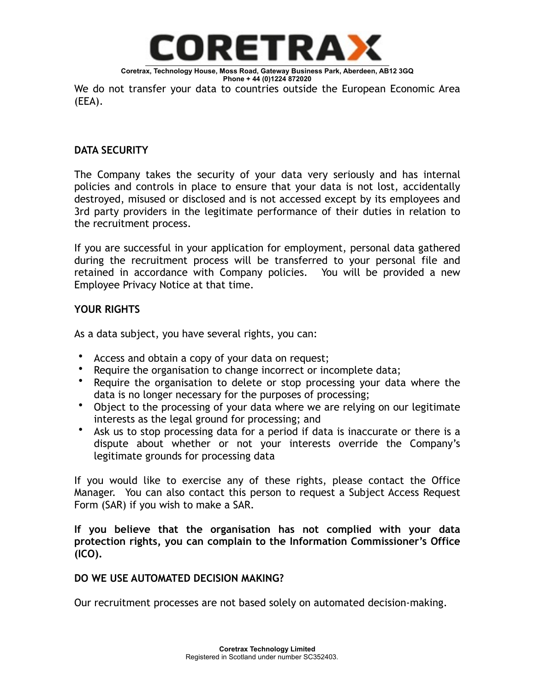

**Coretrax, Technology House, Moss Road, Gateway Business Park, Aberdeen, AB12 3GQ Phone + 44 (0)1224 872020** 

We do not transfer your data to countries outside the European Economic Area (EEA).

# **DATA SECURITY**

The Company takes the security of your data very seriously and has internal policies and controls in place to ensure that your data is not lost, accidentally destroyed, misused or disclosed and is not accessed except by its employees and 3rd party providers in the legitimate performance of their duties in relation to the recruitment process.

If you are successful in your application for employment, personal data gathered during the recruitment process will be transferred to your personal file and retained in accordance with Company policies. You will be provided a new Employee Privacy Notice at that time.

# **YOUR RIGHTS**

As a data subject, you have several rights, you can:

- Access and obtain a copy of your data on request;
- Require the organisation to change incorrect or incomplete data;
- Require the organisation to delete or stop processing your data where the data is no longer necessary for the purposes of processing;
- Object to the processing of your data where we are relying on our legitimate interests as the legal ground for processing; and
- Ask us to stop processing data for a period if data is inaccurate or there is a dispute about whether or not your interests override the Company's legitimate grounds for processing data

If you would like to exercise any of these rights, please contact the Office Manager. You can also contact this person to request a Subject Access Request Form (SAR) if you wish to make a SAR.

**If you believe that the organisation has not complied with your data protection rights, you can complain to the Information Commissioner's Office (ICO).**

## **DO WE USE AUTOMATED DECISION MAKING?**

Our recruitment processes are not based solely on automated decision-making.